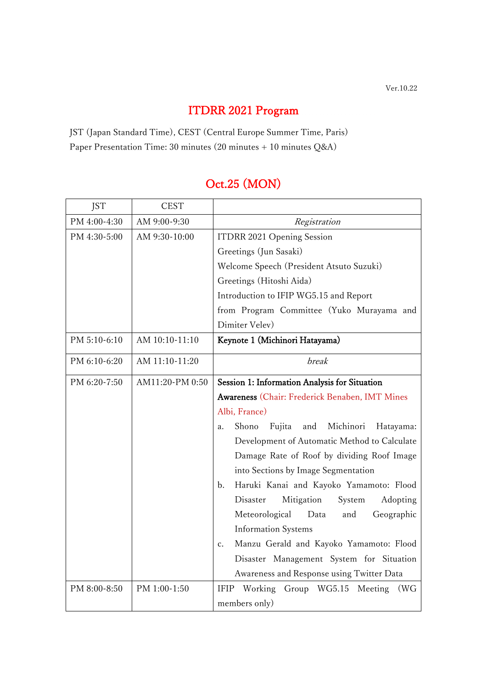## ITDRR 2021 Program

JST (Japan Standard Time), CEST (Central Europe Summer Time, Paris) Paper Presentation Time: 30 minutes (20 minutes + 10 minutes  $Q&A$ )

## Oct.25 (MON)

| <b>JST</b>   | <b>CEST</b>     |                                                           |
|--------------|-----------------|-----------------------------------------------------------|
| PM 4:00-4:30 | AM 9:00-9:30    | Registration                                              |
| PM 4:30-5:00 | AM 9:30-10:00   | ITDRR 2021 Opening Session                                |
|              |                 | Greetings (Jun Sasaki)                                    |
|              |                 | Welcome Speech (President Atsuto Suzuki)                  |
|              |                 | Greetings (Hitoshi Aida)                                  |
|              |                 | Introduction to IFIP WG5.15 and Report                    |
|              |                 | from Program Committee (Yuko Murayama and                 |
|              |                 | Dimiter Velev)                                            |
| PM 5:10-6:10 | AM 10:10-11:10  | Keynote 1 (Michinori Hatayama)                            |
| PM 6:10-6:20 | AM 11:10-11:20  | break                                                     |
| PM 6:20-7:50 | AM11:20-PM 0:50 | Session 1: Information Analysis for Situation             |
|              |                 | Awareness (Chair: Frederick Benaben, IMT Mines            |
|              |                 | Albi, France)                                             |
|              |                 | Shono<br>Fujita<br>Michinori<br>and<br>Hatayama:<br>a.    |
|              |                 | Development of Automatic Method to Calculate              |
|              |                 | Damage Rate of Roof by dividing Roof Image                |
|              |                 | into Sections by Image Segmentation                       |
|              |                 | Haruki Kanai and Kayoko Yamamoto: Flood<br>$\mathbf{b}$ . |
|              |                 | Disaster<br>Mitigation<br>Adopting<br>System              |
|              |                 | Meteorological<br>Data<br>Geographic<br>and               |
|              |                 | <b>Information Systems</b>                                |
|              |                 | Manzu Gerald and Kayoko Yamamoto: Flood<br>c.             |
|              |                 | Disaster Management System for Situation                  |
|              |                 | Awareness and Response using Twitter Data                 |
| PM 8:00-8:50 | PM 1:00-1:50    | Group WG5.15<br>IFIP Working<br>Meeting<br>(WG            |
|              |                 | members only)                                             |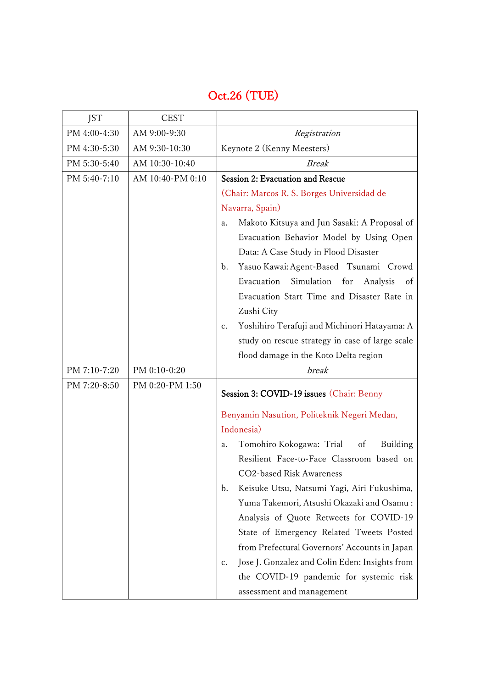## Oct.26 (TUE)

| <b>JST</b>   | <b>CEST</b>      |                                                               |
|--------------|------------------|---------------------------------------------------------------|
| PM 4:00-4:30 | AM 9:00-9:30     | Registration                                                  |
| PM 4:30-5:30 | AM 9:30-10:30    | Keynote 2 (Kenny Meesters)                                    |
| PM 5:30-5:40 | AM 10:30-10:40   | <b>Break</b>                                                  |
| PM 5:40-7:10 | AM 10:40-PM 0:10 | Session 2: Evacuation and Rescue                              |
|              |                  | (Chair: Marcos R. S. Borges Universidad de                    |
|              |                  | Navarra, Spain)                                               |
|              |                  | Makoto Kitsuya and Jun Sasaki: A Proposal of<br>a.            |
|              |                  | Evacuation Behavior Model by Using Open                       |
|              |                  | Data: A Case Study in Flood Disaster                          |
|              |                  | Yasuo Kawai: Agent-Based Tsunami Crowd<br>b.                  |
|              |                  | Evacuation Simulation for<br>Analysis<br>of                   |
|              |                  | Evacuation Start Time and Disaster Rate in                    |
|              |                  | Zushi City                                                    |
|              |                  | Yoshihiro Terafuji and Michinori Hatayama: A<br>$C_{\bullet}$ |
|              |                  | study on rescue strategy in case of large scale               |
|              |                  | flood damage in the Koto Delta region                         |
| PM 7:10-7:20 | PM 0:10-0:20     | break                                                         |
| PM 7:20-8:50 | PM 0:20-PM 1:50  | Session 3: COVID-19 issues (Chair: Benny                      |
|              |                  | Benyamin Nasution, Politeknik Negeri Medan,                   |
|              |                  | Indonesia)                                                    |
|              |                  | Tomohiro Kokogawa: Trial of<br>Building<br>a.                 |
|              |                  | Resilient Face-to-Face Classroom based on                     |
|              |                  | CO2-based Risk Awareness                                      |
|              |                  | Keisuke Utsu, Natsumi Yagi, Airi Fukushima,<br>$\mathbf{b}$ . |
|              |                  | Yuma Takemori, Atsushi Okazaki and Osamu:                     |
|              |                  | Analysis of Quote Retweets for COVID-19                       |
|              |                  | State of Emergency Related Tweets Posted                      |
|              |                  | from Prefectural Governors' Accounts in Japan                 |
|              |                  | Jose J. Gonzalez and Colin Eden: Insights from<br>c.          |
|              |                  | the COVID-19 pandemic for systemic risk                       |
|              |                  | assessment and management                                     |